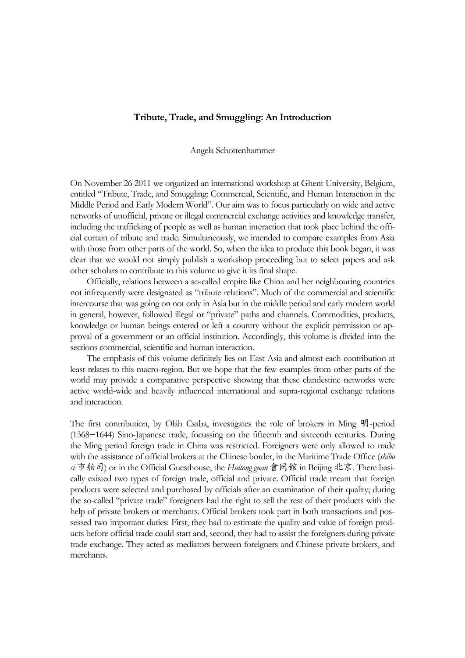## **Tribute, Trade, and Smuggling: An Introduction**

Angela Schottenhammer

On November 26 2011 we organized an international workshop at Ghent University, Belgium, entitled "Tribute, Trade, and Smuggling: Commercial, Scientific, and Human Interaction in the Middle Period and Early Modern World". Our aim was to focus particularly on wide and active networks of unofficial, private or illegal commercial exchange activities and knowledge transfer, including the trafficking of people as well as human interaction that took place behind the official curtain of tribute and trade. Simultaneously, we intended to compare examples from Asia with those from other parts of the world. So, when the idea to produce this book began, it was clear that we would not simply publish a workshop proceeding but to select papers and ask other scholars to contribute to this volume to give it its final shape.

Officially, relations between a so-called empire like China and her neighbouring countries not infrequently were designated as "tribute relations". Much of the commercial and scientific intercourse that was going on not only in Asia but in the middle period and early modern world in general, however, followed illegal or "private" paths and channels. Commodities, products, knowledge or human beings entered or left a country without the explicit permission or approval of a government or an official institution. Accordingly, this volume is divided into the sections commercial, scientific and human interaction.

The emphasis of this volume definitely lies on East Asia and almost each contribution at least relates to this macro-region. But we hope that the few examples from other parts of the world may provide a comparative perspective showing that these clandestine networks were active world-wide and heavily influenced international and supra-regional exchange relations and interaction.

The first contribution, by Oláh Csaba, investigates the role of brokers in Ming 明-period (1368−1644) Sino-Japanese trade, focussing on the fifteenth and sixteenth centuries. During the Ming period foreign trade in China was restricted. Foreigners were only allowed to trade with the assistance of official brokers at the Chinese border, in the Maritime Trade Office (*shibo si* 市舶司) or in the Official Guesthouse, the *Huitong guan* 會同館 in Beijing 北京. There basically existed two types of foreign trade, official and private. Official trade meant that foreign products were selected and purchased by officials after an examination of their quality; during the so-called "private trade" foreigners had the right to sell the rest of their products with the help of private brokers or merchants. Official brokers took part in both transactions and possessed two important duties: First, they had to estimate the quality and value of foreign products before official trade could start and, second, they had to assist the foreigners during private trade exchange. They acted as mediators between foreigners and Chinese private brokers, and merchants.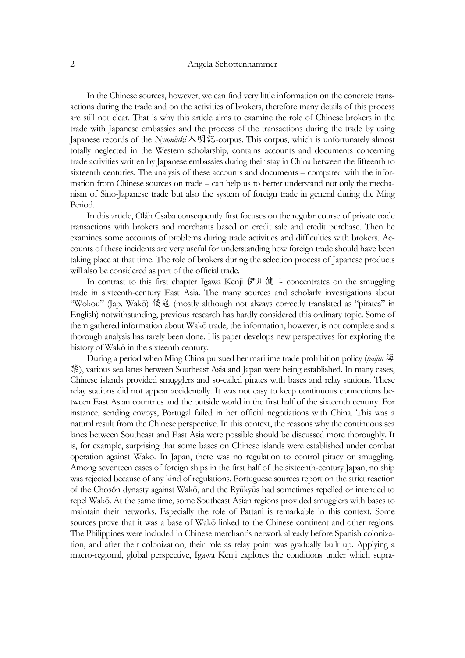## 2 Angela Schottenhammer

In the Chinese sources, however, we can find very little information on the concrete transactions during the trade and on the activities of brokers, therefore many details of this process are still not clear. That is why this article aims to examine the role of Chinese brokers in the trade with Japanese embassies and the process of the transactions during the trade by using Japanese records of the *Nyūminki*入明記-corpus. This corpus, which is unfortunately almost totally neglected in the Western scholarship, contains accounts and documents concerning trade activities written by Japanese embassies during their stay in China between the fifteenth to sixteenth centuries. The analysis of these accounts and documents – compared with the information from Chinese sources on trade – can help us to better understand not only the mechanism of Sino-Japanese trade but also the system of foreign trade in general during the Ming Period.

In this article, Oláh Csaba consequently first focuses on the regular course of private trade transactions with brokers and merchants based on credit sale and credit purchase. Then he examines some accounts of problems during trade activities and difficulties with brokers. Accounts of these incidents are very useful for understanding how foreign trade should have been taking place at that time. The role of brokers during the selection process of Japanese products will also be considered as part of the official trade.

In contrast to this first chapter Igawa Kenji 伊川健二 concentrates on the smuggling trade in sixteenth-century East Asia. The many sources and scholarly investigations about "Wokou" (Jap. Wakō) 倭寇 (mostly although not always correctly translated as "pirates" in English) notwithstanding, previous research has hardly considered this ordinary topic. Some of them gathered information about Wakō trade, the information, however, is not complete and a thorough analysis has rarely been done. His paper develops new perspectives for exploring the history of Wakō in the sixteenth century.

 During a period when Ming China pursued her maritime trade prohibition policy (*haijin* 海 禁), various sea lanes between Southeast Asia and Japan were being established. In many cases, Chinese islands provided smugglers and so-called pirates with bases and relay stations. These relay stations did not appear accidentally. It was not easy to keep continuous connections between East Asian countries and the outside world in the first half of the sixteenth century. For instance, sending envoys, Portugal failed in her official negotiations with China. This was a natural result from the Chinese perspective. In this context, the reasons why the continuous sea lanes between Southeast and East Asia were possible should be discussed more thoroughly. It is, for example, surprising that some bases on Chinese islands were established under combat operation against Wakō. In Japan, there was no regulation to control piracy or smuggling. Among seventeen cases of foreign ships in the first half of the sixteenth-century Japan, no ship was rejected because of any kind of regulations. Portuguese sources report on the strict reaction of the Chosŏn dynasty against Wakō, and the Ryūkyūs had sometimes repelled or intended to repel Wakō. At the same time, some Southeast Asian regions provided smugglers with bases to maintain their networks. Especially the role of Pattani is remarkable in this context. Some sources prove that it was a base of Wakō linked to the Chinese continent and other regions. The Philippines were included in Chinese merchant's network already before Spanish colonization, and after their colonization, their role as relay point was gradually built up. Applying a macro-regional, global perspective, Igawa Kenji explores the conditions under which supra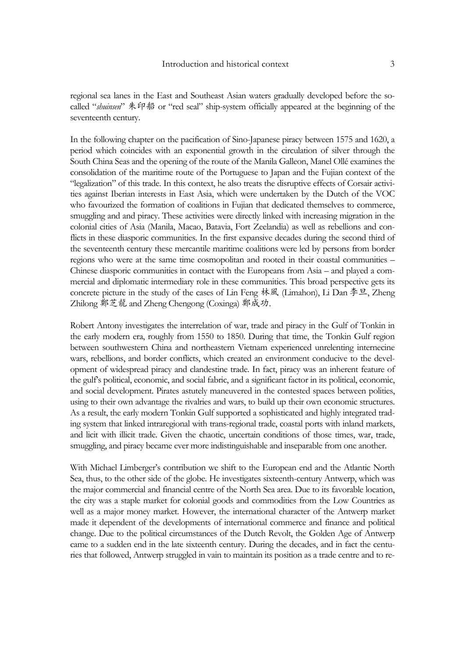regional sea lanes in the East and Southeast Asian waters gradually developed before the socalled "*shuinsen*" 朱印船 or "red seal" ship-system officially appeared at the beginning of the seventeenth century.

In the following chapter on the pacification of Sino-Japanese piracy between 1575 and 1620, a period which coincides with an exponential growth in the circulation of silver through the South China Seas and the opening of the route of the Manila Galleon, Manel Ollé examines the consolidation of the maritime route of the Portuguese to Japan and the Fujian context of the "legalization" of this trade. In this context, he also treats the disruptive effects of Corsair activities against Iberian interests in East Asia, which were undertaken by the Dutch of the VOC who favourized the formation of coalitions in Fujian that dedicated themselves to commerce, smuggling and and piracy. These activities were directly linked with increasing migration in the colonial cities of Asia (Manila, Macao, Batavia, Fort Zeelandia) as well as rebellions and conflicts in these diasporic communities. In the first expansive decades during the second third of the seventeenth century these mercantile maritime coalitions were led by persons from border regions who were at the same time cosmopolitan and rooted in their coastal communities – Chinese diasporic communities in contact with the Europeans from Asia – and played a commercial and diplomatic intermediary role in these communities. This broad perspective gets its concrete picture in the study of the cases of Lin Feng 林風 (Limahon), Li Dan 李旦, Zheng Zhilong 鄭芝龍 and Zheng Chengong (Coxinga) 鄭成功.

Robert Antony investigates the interrelation of war, trade and piracy in the Gulf of Tonkin in the early modern era, roughly from 1550 to 1850. During that time, the Tonkin Gulf region between southwestern China and northeastern Vietnam experienced unrelenting internecine wars, rebellions, and border conflicts, which created an environment conducive to the development of widespread piracy and clandestine trade. In fact, piracy was an inherent feature of the gulf's political, economic, and social fabric, and a significant factor in its political, economic, and social development. Pirates astutely maneuvered in the contested spaces between polities, using to their own advantage the rivalries and wars, to build up their own economic structures. As a result, the early modern Tonkin Gulf supported a sophisticated and highly integrated trading system that linked intraregional with trans-regional trade, coastal ports with inland markets, and licit with illicit trade. Given the chaotic, uncertain conditions of those times, war, trade, smuggling, and piracy became ever more indistinguishable and inseparable from one another.

With Michael Limberger's contribution we shift to the European end and the Atlantic North Sea, thus, to the other side of the globe. He investigates sixteenth-century Antwerp, which was the major commercial and financial centre of the North Sea area. Due to its favorable location, the city was a staple market for colonial goods and commodities from the Low Countries as well as a major money market. However, the international character of the Antwerp market made it dependent of the developments of international commerce and finance and political change. Due to the political circumstances of the Dutch Revolt, the Golden Age of Antwerp came to a sudden end in the late sixteenth century. During the decades, and in fact the centuries that followed, Antwerp struggled in vain to maintain its position as a trade centre and to re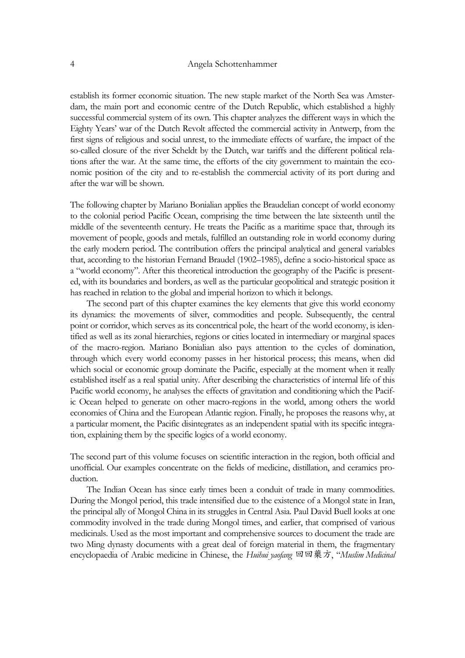establish its former economic situation. The new staple market of the North Sea was Amsterdam, the main port and economic centre of the Dutch Republic, which established a highly successful commercial system of its own. This chapter analyzes the different ways in which the Eighty Years' war of the Dutch Revolt affected the commercial activity in Antwerp, from the first signs of religious and social unrest, to the immediate effects of warfare, the impact of the so-called closure of the river Scheldt by the Dutch, war tariffs and the different political relations after the war. At the same time, the efforts of the city government to maintain the economic position of the city and to re-establish the commercial activity of its port during and after the war will be shown.

The following chapter by Mariano Bonialian applies the Braudelian concept of world economy to the colonial period Pacific Ocean, comprising the time between the late sixteenth until the middle of the seventeenth century. He treats the Pacific as a maritime space that, through its movement of people, goods and metals, fulfilled an outstanding role in world economy during the early modern period. The contribution offers the principal analytical and general variables that, according to the historian Fernand Braudel (1902–1985), define a socio-historical space as a "world economy". After this theoretical introduction the geography of the Pacific is presented, with its boundaries and borders, as well as the particular geopolitical and strategic position it has reached in relation to the global and imperial horizon to which it belongs.

 The second part of this chapter examines the key elements that give this world economy its dynamics: the movements of silver, commodities and people. Subsequently, the central point or corridor, which serves as its concentrical pole, the heart of the world economy, is identified as well as its zonal hierarchies, regions or cities located in intermediary or marginal spaces of the macro-region. Mariano Bonialian also pays attention to the cycles of domination, through which every world economy passes in her historical process; this means, when did which social or economic group dominate the Pacific, especially at the moment when it really established itself as a real spatial unity. After describing the characteristics of internal life of this Pacific world economy, he analyses the effects of gravitation and conditioning which the Pacific Ocean helped to generate on other macro-regions in the world, among others the world economies of China and the European Atlantic region. Finally, he proposes the reasons why, at a particular moment, the Pacific disintegrates as an independent spatial with its specific integration, explaining them by the specific logics of a world economy.

The second part of this volume focuses on scientific interaction in the region, both official and unofficial. Our examples concentrate on the fields of medicine, distillation, and ceramics production.

The Indian Ocean has since early times been a conduit of trade in many commodities. During the Mongol period, this trade intensified due to the existence of a Mongol state in Iran, the principal ally of Mongol China in its struggles in Central Asia. Paul David Buell looks at one commodity involved in the trade during Mongol times, and earlier, that comprised of various medicinals. Used as the most important and comprehensive sources to document the trade are two Ming dynasty documents with a great deal of foreign material in them, the fragmentary encyclopaedia of Arabic medicine in Chinese, the *Huihui yaofang* 回回藥方, "*Muslim Medicinal*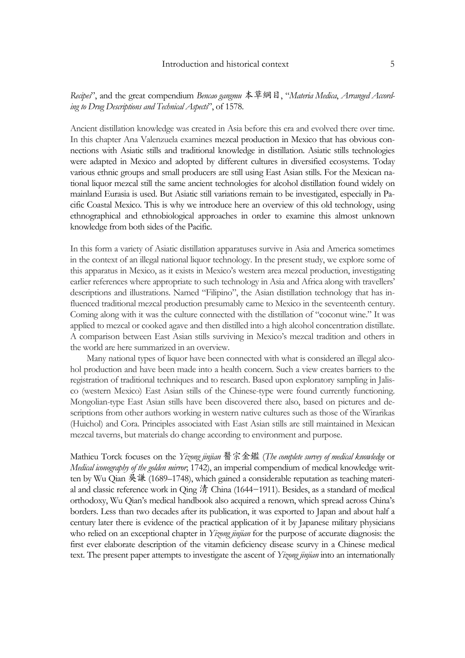# *Recipes*", and the great compendium *Bencao gangmu* 本草綱目, "*Materia Medica*, *Arranged According to Drug Descriptions and Technical Aspects*", of 1578.

Ancient distillation knowledge was created in Asia before this era and evolved there over time. In this chapter Ana Valenzuela examines mezcal production in Mexico that has obvious connections with Asiatic stills and traditional knowledge in distillation. Asiatic stills technologies were adapted in Mexico and adopted by different cultures in diversified ecosystems. Today various ethnic groups and small producers are still using East Asian stills. For the Mexican national liquor mezcal still the same ancient technologies for alcohol distillation found widely on mainland Eurasia is used. But Asiatic still variations remain to be investigated, especially in Pacific Coastal Mexico. This is why we introduce here an overview of this old technology, using ethnographical and ethnobiological approaches in order to examine this almost unknown knowledge from both sides of the Pacific.

In this form a variety of Asiatic distillation apparatuses survive in Asia and America sometimes in the context of an illegal national liquor technology. In the present study, we explore some of this apparatus in Mexico, as it exists in Mexico's western area mezcal production, investigating earlier references where appropriate to such technology in Asia and Africa along with travellers' descriptions and illustrations. Named "Filipino", the Asian distillation technology that has influenced traditional mezcal production presumably came to Mexico in the seventeenth century. Coming along with it was the culture connected with the distillation of "coconut wine." It was applied to mezcal or cooked agave and then distilled into a high alcohol concentration distillate. A comparison between East Asian stills surviving in Mexico's mezcal tradition and others in the world are here summarized in an overview.

Many national types of liquor have been connected with what is considered an illegal alcohol production and have been made into a health concern. Such a view creates barriers to the registration of traditional techniques and to research. Based upon exploratory sampling in Jalisco (western Mexico) East Asian stills of the Chinese-type were found currently functioning. Mongolian-type East Asian stills have been discovered there also, based on pictures and descriptions from other authors working in western native cultures such as those of the Wirarikas (Huichol) and Cora. Principles associated with East Asian stills are still maintained in Mexican mezcal taverns, but materials do change according to environment and purpose.

Mathieu Torck focuses on the *Yizong jinjian* 醫宗金鑑 (*The complete survey of medical knowledge* or *Medical iconography of the golden mirror*; 1742), an imperial compendium of medical knowledge written by Wu Qian 吳謙 (1689–1748), which gained a considerable reputation as teaching material and classic reference work in Qing 清 China (1644−1911). Besides, as a standard of medical orthodoxy, Wu Qian's medical handbook also acquired a renown, which spread across China's borders. Less than two decades after its publication, it was exported to Japan and about half a century later there is evidence of the practical application of it by Japanese military physicians who relied on an exceptional chapter in *Yizong jinjian* for the purpose of accurate diagnosis: the first ever elaborate description of the vitamin deficiency disease scurvy in a Chinese medical text. The present paper attempts to investigate the ascent of *Yizong jinjian* into an internationally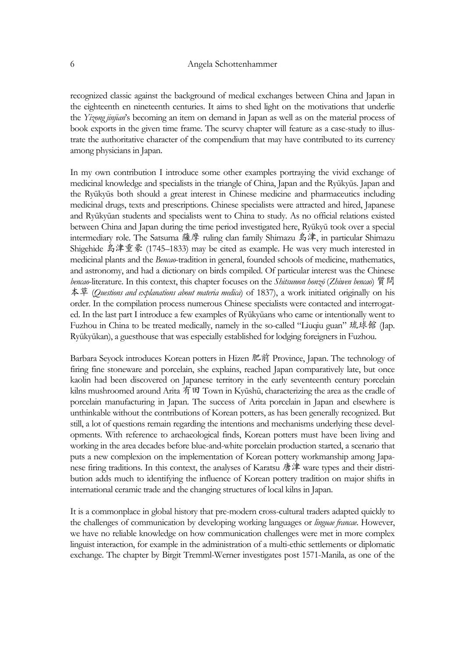recognized classic against the background of medical exchanges between China and Japan in the eighteenth en nineteenth centuries. It aims to shed light on the motivations that underlie the *Yizong jinjian*'s becoming an item on demand in Japan as well as on the material process of book exports in the given time frame. The scurvy chapter will feature as a case-study to illustrate the authoritative character of the compendium that may have contributed to its currency among physicians in Japan.

In my own contribution I introduce some other examples portraying the vivid exchange of medicinal knowledge and specialists in the triangle of China, Japan and the Ryūkyūs. Japan and the Ryūkyūs both should a great interest in Chinese medicine and pharmaceutics including medicinal drugs, texts and prescriptions. Chinese specialists were attracted and hired, Japanese and Ryūkyūan students and specialists went to China to study. As no official relations existed between China and Japan during the time period investigated here, Ryūkyū took over a special intermediary role. The Satsuma 薩摩 ruling clan family Shimazu 島津, in particular Shimazu Shigehide 島津重豪 (1745–1833) may be cited as example. He was very much interested in medicinal plants and the *Bencao*-tradition in general, founded schools of medicine, mathematics, and astronomy, and had a dictionary on birds compiled. Of particular interest was the Chinese *bencao*-literature. In this context, this chapter focuses on the *Shitsumon honzō* (*Zhiwen bencao*) 質問 本草 (*Questions and explanations about materia medica*) of 1837), a work initiated originally on his order. In the compilation process numerous Chinese specialists were contacted and interrogated. In the last part I introduce a few examples of Ryūkyūans who came or intentionally went to Fuzhou in China to be treated medically, namely in the so-called "Liuqiu guan" 琉球館 (Jap. Ryūkyūkan), a guesthouse that was especially established for lodging foreigners in Fuzhou.

Barbara Seyock introduces Korean potters in Hizen 肥前 Province, Japan. The technology of firing fine stoneware and porcelain, she explains, reached Japan comparatively late, but once kaolin had been discovered on Japanese territory in the early seventeenth century porcelain kilns mushroomed around Arita 有田 Town in Kyūshū, characterizing the area as the cradle of porcelain manufacturing in Japan. The success of Arita porcelain in Japan and elsewhere is unthinkable without the contributions of Korean potters, as has been generally recognized. But still, a lot of questions remain regarding the intentions and mechanisms underlying these developments. With reference to archaeological finds, Korean potters must have been living and working in the area decades before blue-and-white porcelain production started, a scenario that puts a new complexion on the implementation of Korean pottery workmanship among Japanese firing traditions. In this context, the analyses of Karatsu 唐津 ware types and their distribution adds much to identifying the influence of Korean pottery tradition on major shifts in international ceramic trade and the changing structures of local kilns in Japan.

It is a commonplace in global history that pre-modern cross-cultural traders adapted quickly to the challenges of communication by developing working languages or *linguae francae*. However, we have no reliable knowledge on how communication challenges were met in more complex linguist interaction, for example in the administration of a multi-ethic settlements or diplomatic exchange. The chapter by Birgit Tremml-Werner investigates post 1571-Manila, as one of the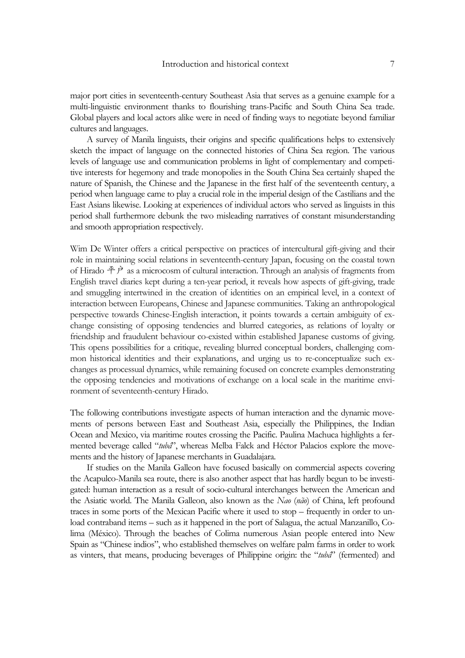major port cities in seventeenth-century Southeast Asia that serves as a genuine example for a multi-linguistic environment thanks to flourishing trans-Pacific and South China Sea trade. Global players and local actors alike were in need of finding ways to negotiate beyond familiar cultures and languages.

A survey of Manila linguists, their origins and specific qualifications helps to extensively sketch the impact of language on the connected histories of China Sea region. The various levels of language use and communication problems in light of complementary and competitive interests for hegemony and trade monopolies in the South China Sea certainly shaped the nature of Spanish, the Chinese and the Japanese in the first half of the seventeenth century, a period when language came to play a crucial role in the imperial design of the Castilians and the East Asians likewise. Looking at experiences of individual actors who served as linguists in this period shall furthermore debunk the two misleading narratives of constant misunderstanding and smooth appropriation respectively.

Wim De Winter offers a critical perspective on practices of intercultural gift-giving and their role in maintaining social relations in seventeenth-century Japan, focusing on the coastal town of Hirado  $\hat{\tau}$  as a microcosm of cultural interaction. Through an analysis of fragments from English travel diaries kept during a ten-year period, it reveals how aspects of gift-giving, trade and smuggling intertwined in the creation of identities on an empirical level, in a context of interaction between Europeans, Chinese and Japanese communities. Taking an anthropological perspective towards Chinese-English interaction, it points towards a certain ambiguity of exchange consisting of opposing tendencies and blurred categories, as relations of loyalty or friendship and fraudulent behaviour co-existed within established Japanese customs of giving. This opens possibilities for a critique, revealing blurred conceptual borders, challenging common historical identities and their explanations, and urging us to re-conceptualize such exchanges as processual dynamics, while remaining focused on concrete examples demonstrating the opposing tendencies and motivations of exchange on a local scale in the maritime environment of seventeenth-century Hirado.

The following contributions investigate aspects of human interaction and the dynamic movements of persons between East and Southeast Asia, especially the Philippines, the Indian Ocean and Mexico, via maritime routes crossing the Pacific. Paulina Machuca highlights a fermented beverage called "*tubâ*", whereas Melba Falck and Héctor Palacios explore the movements and the history of Japanese merchants in Guadalajara.

 If studies on the Manila Galleon have focused basically on commercial aspects covering the Acapulco-Manila sea route, there is also another aspect that has hardly begun to be investigated: human interaction as a result of socio-cultural interchanges between the American and the Asiatic world. The Manila Galleon, also known as the *Nao* (*não*) of China, left profound traces in some ports of the Mexican Pacific where it used to stop – frequently in order to unload contraband items – such as it happened in the port of Salagua, the actual Manzanillo, Colima (México). Through the beaches of Colima numerous Asian people entered into New Spain as "Chinese indios", who established themselves on welfare palm farms in order to work as vinters, that means, producing beverages of Philippine origin: the "*tubâ*" (fermented) and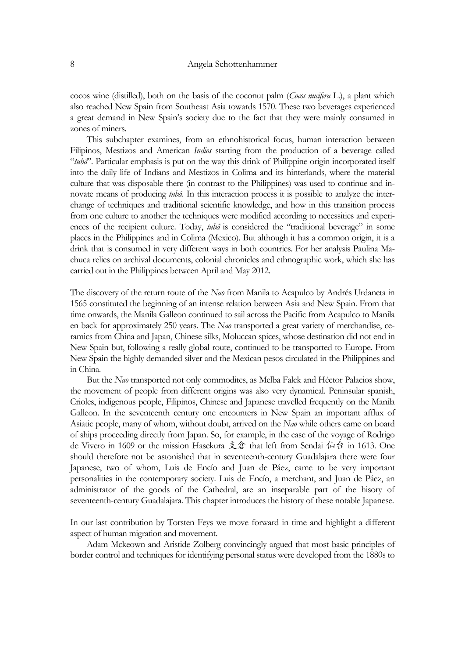cocos wine (distilled), both on the basis of the coconut palm (*Cocos nucifera* L.), a plant which also reached New Spain from Southeast Asia towards 1570. These two beverages experienced a great demand in New Spain's society due to the fact that they were mainly consumed in zones of miners.

 This subchapter examines, from an ethnohistorical focus, human interaction between Filipinos, Mestizos and American *Indios* starting from the production of a beverage called "*tubâ*". Particular emphasis is put on the way this drink of Philippine origin incorporated itself into the daily life of Indians and Mestizos in Colima and its hinterlands, where the material culture that was disposable there (in contrast to the Philippines) was used to continue and innovate means of producing *tubâ*. In this interaction process it is possible to analyze the interchange of techniques and traditional scientific knowledge, and how in this transition process from one culture to another the techniques were modified according to necessities and experiences of the recipient culture. Today, *tubâ* is considered the "traditional beverage" in some places in the Philippines and in Colima (Mexico). But although it has a common origin, it is a drink that is consumed in very different ways in both countries. For her analysis Paulina Machuca relies on archival documents, colonial chronicles and ethnographic work, which she has carried out in the Philippines between April and May 2012.

The discovery of the return route of the *Nao* from Manila to Acapulco by Andrés Urdaneta in 1565 constituted the beginning of an intense relation between Asia and New Spain. From that time onwards, the Manila Galleon continued to sail across the Pacific from Acapulco to Manila en back for approximately 250 years. The *Nao* transported a great variety of merchandise, ceramics from China and Japan, Chinese silks, Moluccan spices, whose destination did not end in New Spain but, following a really global route, continued to be transported to Europe. From New Spain the highly demanded silver and the Mexican pesos circulated in the Philippines and in China.

But the *Nao* transported not only commodites, as Melba Falck and Héctor Palacios show, the movement of people from different origins was also very dynamical. Peninsular spanish, Crioles, indigenous people, Filipinos, Chinese and Japanese travelled frequently on the Manila Galleon. In the seventeenth century one encounters in New Spain an important afflux of Asiatic people, many of whom, without doubt, arrived on the *Nao* while others came on board of ships proceeding directly from Japan. So, for example, in the case of the voyage of Rodrigo de Vivero in 1609 or the mission Hasekura 支倉 that left from Sendai 仙台 in 1613. One should therefore not be astonished that in seventeenth-century Guadalajara there were four Japanese, two of whom, Luis de Encío and Juan de Páez, came to be very important personalities in the contemporary society. Luis de Encío, a merchant, and Juan de Páez, an administrator of the goods of the Cathedral, are an inseparable part of the hisory of seventeenth-century Guadalajara. This chapter introduces the history of these notable Japanese.

In our last contribution by Torsten Feys we move forward in time and highlight a different aspect of human migration and movement.

Adam Mckeown and Aristide Zolberg convincingly argued that most basic principles of border control and techniques for identifying personal status were developed from the 1880s to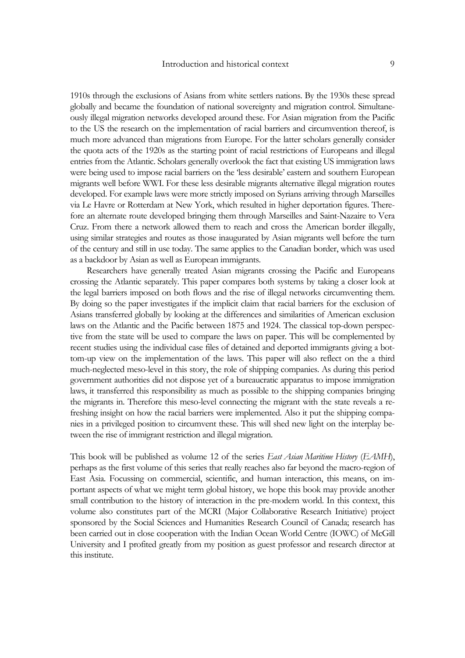1910s through the exclusions of Asians from white settlers nations. By the 1930s these spread globally and became the foundation of national sovereignty and migration control. Simultaneously illegal migration networks developed around these. For Asian migration from the Pacific to the US the research on the implementation of racial barriers and circumvention thereof, is much more advanced than migrations from Europe. For the latter scholars generally consider the quota acts of the 1920s as the starting point of racial restrictions of Europeans and illegal entries from the Atlantic. Scholars generally overlook the fact that existing US immigration laws were being used to impose racial barriers on the 'less desirable' eastern and southern European migrants well before WWI. For these less desirable migrants alternative illegal migration routes developed. For example laws were more strictly imposed on Syrians arriving through Marseilles via Le Havre or Rotterdam at New York, which resulted in higher deportation figures. Therefore an alternate route developed bringing them through Marseilles and Saint-Nazaire to Vera Cruz. From there a network allowed them to reach and cross the American border illegally, using similar strategies and routes as those inaugurated by Asian migrants well before the turn of the century and still in use today. The same applies to the Canadian border, which was used as a backdoor by Asian as well as European immigrants.

Researchers have generally treated Asian migrants crossing the Pacific and Europeans crossing the Atlantic separately. This paper compares both systems by taking a closer look at the legal barriers imposed on both flows and the rise of illegal networks circumventing them. By doing so the paper investigates if the implicit claim that racial barriers for the exclusion of Asians transferred globally by looking at the differences and similarities of American exclusion laws on the Atlantic and the Pacific between 1875 and 1924. The classical top-down perspective from the state will be used to compare the laws on paper. This will be complemented by recent studies using the individual case files of detained and deported immigrants giving a bottom-up view on the implementation of the laws. This paper will also reflect on the a third much-neglected meso-level in this story, the role of shipping companies. As during this period government authorities did not dispose yet of a bureaucratic apparatus to impose immigration laws, it transferred this responsibility as much as possible to the shipping companies bringing the migrants in. Therefore this meso-level connecting the migrant with the state reveals a refreshing insight on how the racial barriers were implemented. Also it put the shipping companies in a privileged position to circumvent these. This will shed new light on the interplay between the rise of immigrant restriction and illegal migration.

This book will be published as volume 12 of the series *East Asian Maritime History* (*EAMH*), perhaps as the first volume of this series that really reaches also far beyond the macro-region of East Asia. Focussing on commercial, scientific, and human interaction, this means, on important aspects of what we might term global history, we hope this book may provide another small contribution to the history of interaction in the pre-modern world. In this context, this volume also constitutes part of the MCRI (Major Collaborative Research Initiative) project sponsored by the Social Sciences and Humanities Research Council of Canada; research has been carried out in close cooperation with the Indian Ocean World Centre (IOWC) of McGill University and I profited greatly from my position as guest professor and research director at this institute.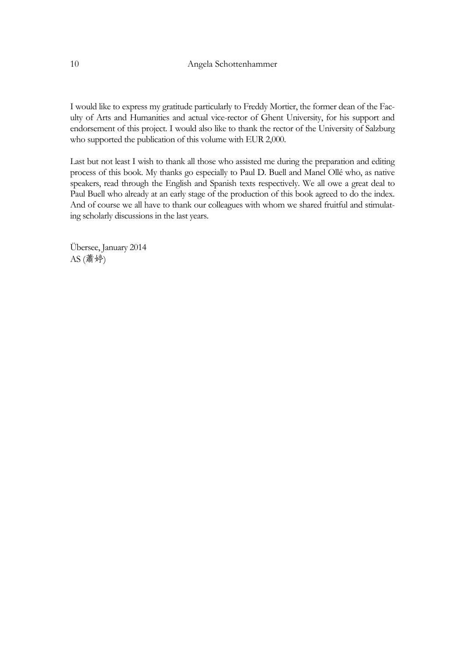I would like to express my gratitude particularly to Freddy Mortier, the former dean of the Faculty of Arts and Humanities and actual vice-rector of Ghent University, for his support and endorsement of this project. I would also like to thank the rector of the University of Salzburg who supported the publication of this volume with EUR 2,000.

Last but not least I wish to thank all those who assisted me during the preparation and editing process of this book. My thanks go especially to Paul D. Buell and Manel Ollé who, as native speakers, read through the English and Spanish texts respectively. We all owe a great deal to Paul Buell who already at an early stage of the production of this book agreed to do the index. And of course we all have to thank our colleagues with whom we shared fruitful and stimulating scholarly discussions in the last years.

Übersee, January 2014 AS (蕭婷)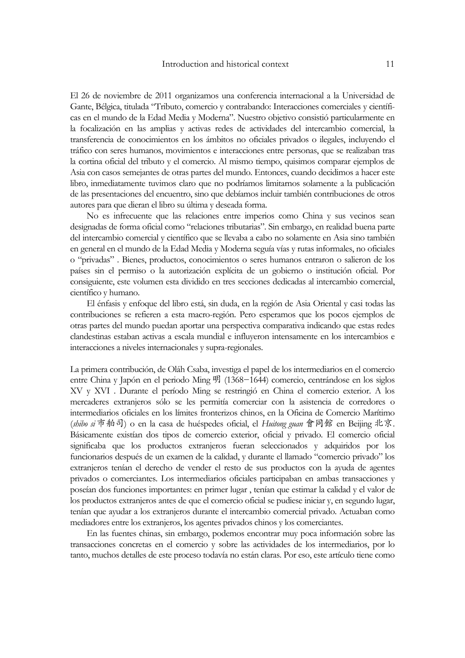El 26 de noviembre de 2011 organizamos una conferencia internacional a la Universidad de Gante, Bélgica, titulada "Tributo, comercio y contrabando: Interacciones comerciales y científicas en el mundo de la Edad Media y Moderna". Nuestro objetivo consistió particularmente en la focalización en las amplias y activas redes de actividades del intercambio comercial, la transferencia de conocimientos en los ámbitos no oficiales privados o ilegales, incluyendo el tráfico con seres humanos, movimientos e interacciones entre personas, que se realizaban tras la cortina oficial del tributo y el comercio. Al mismo tiempo, quisimos comparar ejemplos de Asia con casos semejantes de otras partes del mundo. Entonces, cuando decidimos a hacer este libro, inmediatamente tuvimos claro que no podríamos limitarnos solamente a la publicación de las presentaciones del encuentro, sino que debíamos incluir también contribuciones de otros autores para que dieran el libro su última y deseada forma.

No es infrecuente que las relaciones entre imperios como China y sus vecinos sean designadas de forma oficial como "relaciones tributarias". Sin embargo, en realidad buena parte del intercambio comercial y científico que se llevaba a cabo no solamente en Asia sino también en general en el mundo de la Edad Media y Moderna seguía vías y rutas informales, no oficiales o "privadas" . Bienes, productos, conocimientos o seres humanos entraron o salieron de los países sin el permiso o la autorización explícita de un gobierno o institución oficial. Por consiguiente, este volumen esta dividido en tres secciones dedicadas al intercambio comercial, científico y humano.

El énfasis y enfoque del libro está, sin duda, en la región de Asia Oriental y casi todas las contribuciones se refieren a esta macro-región. Pero esperamos que los pocos ejemplos de otras partes del mundo puedan aportar una perspectiva comparativa indicando que estas redes clandestinas estaban activas a escala mundial e influyeron intensamente en los intercambios e interacciones a niveles internacionales y supra-regionales.

La primera contribución, de Oláh Csaba, investiga el papel de los intermediarios en el comercio entre China y Japón en el periodo Ming 明 (1368−1644) comercio, centrándose en los siglos XV y XVI . Durante el período Ming se restringió en China el comercio exterior. A los mercaderes extranjeros sólo se les permitía comerciar con la asistencia de corredores o intermediarios oficiales en los límites fronterizos chinos, en la Oficina de Comercio Marítimo (*shibo si* 市舶司) o en la casa de huéspedes oficial, el *Huitong guan* 會同館 en Beijing 北京. Básicamente existían dos tipos de comercio exterior, oficial y privado. El comercio oficial significaba que los productos extranjeros fueran seleccionados y adquiridos por los funcionarios después de un examen de la calidad, y durante el llamado "comercio privado" los extranjeros tenían el derecho de vender el resto de sus productos con la ayuda de agentes privados o comerciantes. Los intermediarios oficiales participaban en ambas transacciones y poseían dos funciones importantes: en primer lugar , tenían que estimar la calidad y el valor de los productos extranjeros antes de que el comercio oficial se pudiese iniciar y, en segundo lugar, tenían que ayudar a los extranjeros durante el intercambio comercial privado. Actuaban como mediadores entre los extranjeros, los agentes privados chinos y los comerciantes.

 En las fuentes chinas, sin embargo, podemos encontrar muy poca información sobre las transacciones concretas en el comercio y sobre las actividades de los intermediarios, por lo tanto, muchos detalles de este proceso todavía no están claras. Por eso, este artículo tiene como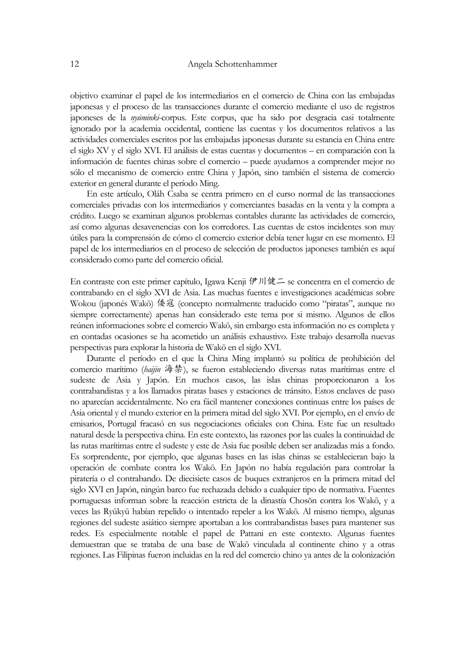#### 12 Angela Schottenhammer

objetivo examinar el papel de los intermediarios en el comercio de China con las embajadas japonesas y el proceso de las transacciones durante el comercio mediante el uso de registros japoneses de la *nyūminki*-corpus. Este corpus, que ha sido por desgracia casi totalmente ignorado por la academia occidental, contiene las cuentas y los documentos relativos a las actividades comerciales escritos por las embajadas japonesas durante su estancia en China entre el siglo XV y el siglo XVI. El análisis de estas cuentas y documentos – en comparación con la información de fuentes chinas sobre el comercio – puede ayudarnos a comprender mejor no sólo el mecanismo de comercio entre China y Japón, sino también el sistema de comercio exterior en general durante el período Ming.

 En este artículo, Oláh Csaba se centra primero en el curso normal de las transacciones comerciales privadas con los intermediarios y comerciantes basadas en la venta y la compra a crédito. Luego se examinan algunos problemas contables durante las actividades de comercio, así como algunas desavenencias con los corredores. Las cuentas de estos incidentes son muy útiles para la comprensión de cómo el comercio exterior debía tener lugar en ese momento. El papel de los intermediarios en el proceso de selección de productos japoneses también es aquí considerado como parte del comercio oficial.

En contraste con este primer capítulo, Igawa Kenji 伊川健二 se concentra en el comercio de contrabando en el siglo XVI de Asia. Las muchas fuentes e investigaciones académicas sobre Wokou (japonés Wakō) 倭寇 (concepto normalmente traducido como "piratas", aunque no siempre correctamente) apenas han considerado este tema por si mismo. Algunos de ellos reúnen informaciones sobre el comercio Wakō, sin embargo esta información no es completa y en contadas ocasiones se ha acometido un análisis exhaustivo. Este trabajo desarrolla nuevas perspectivas para explorar la historia de Wakō en el siglo XVI.

 Durante el período en el que la China Ming implantó su política de prohibición del comercio marítimo (*haijin* 海禁), se fueron estableciendo diversas rutas marítimas entre el sudeste de Asia y Japón. En muchos casos, las islas chinas proporcionaron a los contrabandistas y a los llamados piratas bases y estaciones de tránsito. Estos enclaves de paso no aparecían accidentalmente. No era fácil mantener conexiones continuas entre los países de Asia oriental y el mundo exterior en la primera mitad del siglo XVI. Por ejemplo, en el envío de emisarios, Portugal fracasó en sus negociaciones oficiales con China. Este fue un resultado natural desde la perspectiva china. En este contexto, las razones por las cuales la continuidad de las rutas marítimas entre el sudeste y este de Asia fue posible deben ser analizadas más a fondo. Es sorprendente, por ejemplo, que algunas bases en las islas chinas se establecieran bajo la operación de combate contra los Wakō. En Japón no había regulación para controlar la piratería o el contrabando. De diecisiete casos de buques extranjeros en la primera mitad del siglo XVI en Japón, ningún barco fue rechazada debido a cualquier tipo de normativa. Fuentes portuguesas informan sobre la reacción estricta de la dinastía Chosŏn contra los Wakō, y a veces las Ryūkyū habían repelido o intentado repeler a los Wakō. Al mismo tiempo, algunas regiones del sudeste asiático siempre aportaban a los contrabandistas bases para mantener sus redes. Es especialmente notable el papel de Pattani en este contexto. Algunas fuentes demuestran que se trataba de una base de Wakō vinculada al continente chino y a otras regiones. Las Filipinas fueron incluidas en la red del comercio chino ya antes de la colonización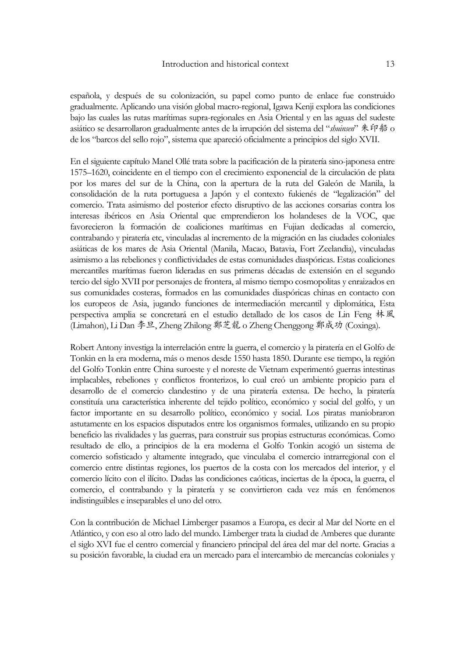### Introduction and historical context 13

española, y después de su colonización, su papel como punto de enlace fue construido gradualmente. Aplicando una visión global macro-regional, Igawa Kenji explora las condiciones bajo las cuales las rutas marítimas supra-regionales en Asia Oriental y en las aguas del sudeste asiático se desarrollaron gradualmente antes de la irrupción del sistema del "*shuinsen*" 朱印船 o de los "barcos del sello rojo", sistema que apareció oficialmente a principios del siglo XVII.

En el siguiente capítulo Manel Ollé trata sobre la pacificación de la piratería sino-japonesa entre 1575–1620, coincidente en el tiempo con el crecimiento exponencial de la circulación de plata por los mares del sur de la China, con la apertura de la ruta del Galeón de Manila, la consolidación de la ruta portuguesa a Japón y el contexto fukienés de "legalización" del comercio. Trata asimismo del posterior efecto disruptivo de las acciones corsarias contra los interesas ibéricos en Asia Oriental que emprendieron los holandeses de la VOC, que favorecieron la formación de coaliciones marítimas en Fujian dedicadas al comercio, contrabando y piratería etc, vinculadas al incremento de la migración en las ciudades coloniales asiáticas de los mares de Asia Oriental (Manila, Macao, Batavia, Fort Zeelandia), vinculadas asimismo a las rebeliones y conflictividades de estas comunidades diaspóricas. Estas coaliciones mercantiles marítimas fueron lideradas en sus primeras décadas de extensión en el segundo tercio del siglo XVII por personajes de frontera, al mismo tiempo cosmopolitas y enraizados en sus comunidades costeras, formados en las comunidades diaspóricas chinas en contacto con los europeos de Asia, jugando funciones de intermediación mercantil y diplomática, Esta perspectiva amplia se concretará en el estudio detallado de los casos de Lin Feng 林風 (Limahon), Li Dan 李旦, Zheng Zhilong 鄭芝龍 o Zheng Chenggong 鄭成功 (Coxinga).

Robert Antony investiga la interrelación entre la guerra, el comercio y la piratería en el Golfo de Tonkin en la era moderna, más o menos desde 1550 hasta 1850. Durante ese tiempo, la región del Golfo Tonkin entre China suroeste y el noreste de Vietnam experimentó guerras intestinas implacables, rebeliones y conflictos fronterizos, lo cual creó un ambiente propicio para el desarrollo de el comercio clandestino y de una piratería extensa. De hecho, la piratería constituía una característica inherente del tejido político, económico y social del golfo, y un factor importante en su desarrollo político, económico y social. Los piratas maniobraron astutamente en los espacios disputados entre los organismos formales, utilizando en su propio beneficio las rivalidades y las guerras, para construir sus propias estructuras económicas. Como resultado de ello, a principios de la era moderna el Golfo Tonkin acogió un sistema de comercio sofisticado y altamente integrado, que vinculaba el comercio intrarregional con el comercio entre distintas regiones, los puertos de la costa con los mercados del interior, y el comercio lícito con el ilícito. Dadas las condiciones caóticas, inciertas de la época, la guerra, el comercio, el contrabando y la piratería y se convirtieron cada vez más en fenómenos indistinguibles e inseparables el uno del otro.

Con la contribución de Michael Limberger pasamos a Europa, es decir al Mar del Norte en el Atlántico, y con eso al otro lado del mundo. Limberger trata la ciudad de Amberes que durante el siglo XVI fue el centro comercial y financiero principal del área del mar del norte. Gracias a su posición favorable, la ciudad era un mercado para el intercambio de mercancías coloniales y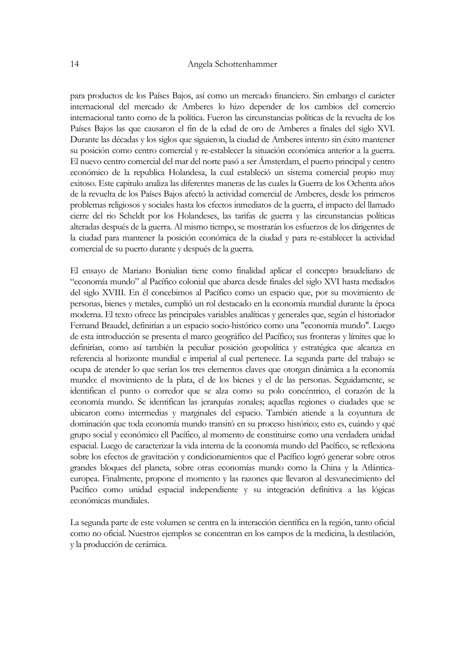## 14 Angela Schottenhammer

para productos de los Países Bajos, así como un mercado financiero. Sin embargo el carácter internacional del mercado de Amberes lo hizo depender de los cambios del comercio internacional tanto como de la política. Fueron las circunstancias políticas de la revuelta de los Países Bajos las que causaron el fin de la edad de oro de Amberes a finales del siglo XVI. Durante las décadas y los siglos que siguieron, la ciudad de Amberes intento sin éxito mantener su posición como centro comercial y re-establecer la situación económica anterior a la guerra. El nuevo centro comercial del mar del norte pasó a ser Ámsterdam, el puerto principal y centro económico de la republica Holandesa, la cual estableció un sistema comercial propio muy exitoso. Este capitulo analiza las diferentes maneras de las cuales la Guerra de los Ochenta años de la revuelta de los Países Bajos afectó la actividad comercial de Amberes, desde los primeros problemas religiosos y sociales hasta los efectos inmediatos de la guerra, el impacto del llamado cierre del rio Scheldt por los Holandeses, las tarifas de guerra y las circunstancias políticas alteradas después de la guerra. Al mismo tiempo, se mostrarán los esfuerzos de los dirigentes de la ciudad para mantener la posición económica de la ciudad y para re-establecer la actividad comercial de su puerto durante y después de la guerra.

El ensayo de Mariano Bonialian tiene como finalidad aplicar el concepto braudeliano de "economía mundo" al Pacífico colonial que abarca desde finales del siglo XVI hasta mediados del siglo XVIII. En él concebimos al Pacífico como un espacio que, por su movimiento de personas, bienes y metales, cumplió un rol destacado en la economía mundial durante la época moderna. El texto ofrece las principales variables analíticas y generales que, según el historiador Fernand Braudel, definirían a un espacio socio-histórico como una "economía mundo". Luego de esta introducción se presenta el marco geográfico del Pacífico; sus fronteras y límites que lo definirían, como así también la peculiar posición geopolítica y estratégica que alcanza en referencia al horizonte mundial e imperial al cual pertenece. La segunda parte del trabajo se ocupa de atender lo que serían los tres elementos claves que otorgan dinámica a la economía mundo: el movimiento de la plata, el de los bienes y el de las personas. Seguidamente, se identifican el punto o corredor que se alza como su polo concéntrico, el corazón de la economía mundo. Se identifican las jerarquías zonales; aquellas regiones o ciudades que se ubicaron como intermedias y marginales del espacio. También atiende a la coyuntura de dominación que toda economía mundo transitó en su proceso histórico; esto es, cuándo y qué grupo social y económico ell Pacífico, al momento de constituirse como una verdadera unidad espacial. Luego de caracterizar la vida interna de la economía mundo del Pacífico, se reflexiona sobre los efectos de gravitación y condicionamientos que el Pacífico logró generar sobre otros grandes bloques del planeta, sobre otras economías mundo como la China y la Atlánticaeuropea. Finalmente, propone el momento y las razones que llevaron al desvanecimiento del Pacífico como unidad espacial independiente y su integración definitiva a las lógicas económicas mundiales.

La segunda parte de este volumen se centra en la interacción científica en la región, tanto oficial como no oficial. Nuestros ejemplos se concentran en los campos de la medicina, la destilación, y la producción de cerámica.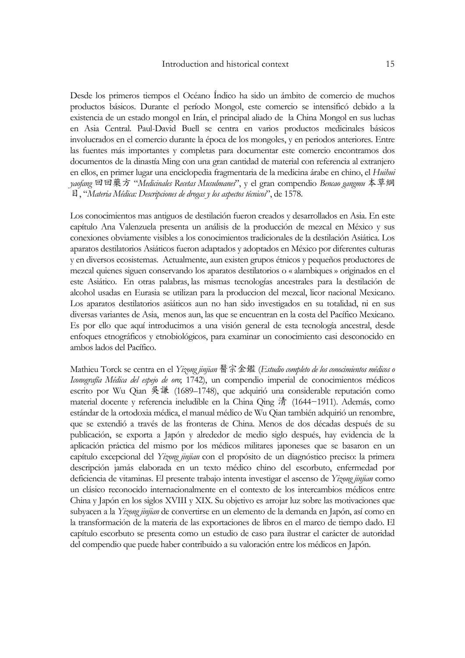Desde los primeros tiempos el Océano Índico ha sido un ámbito de comercio de muchos productos básicos. Durante el período Mongol, este comercio se intensificó debido a la existencia de un estado mongol en Irán, el principal aliado de la China Mongol en sus luchas en Asia Central. Paul-David Buell se centra en varios productos medicinales básicos involucrados en el comercio durante la época de los mongoles, y en periodos anteriores. Entre las fuentes más importantes y completas para documentar este comercio encontramos dos documentos de la dinastía Ming con una gran cantidad de material con referencia al extranjero en ellos, en primer lugar una enciclopedia fragmentaria de la medicina árabe en chino, el *Huihui yaofang* 回回藥方 "*Medicinales Recetas Musulmanes*", y el gran compendio *Bencao gangmu* 本草綱 目, "*Materia Médica: Descripciones de drogas y los aspectos técnicos*", de 1578.

Los conocimientos mas antiguos de destilación fueron creados y desarrollados en Asia. En este capítulo Ana Valenzuela presenta un análisis de la producción de mezcal en México y sus conexiones obviamente visibles a los conocimientos tradicionales de la destilación Asiática. Los aparatos destilatorios Asiáticos fueron adaptados y adoptados en México por diferentes culturas y en diversos ecosistemas. Actualmente, aun existen grupos étnicos y pequeños productores de mezcal quienes siguen conservando los aparatos destilatorios o « alambiques » originados en el este Asiático. En otras palabras, las mismas tecnologías ancestrales para la destilación de alcohol usadas en Eurasia se utilizan para la produccion del mezcal, licor nacional Mexicano. Los aparatos destilatorios asiáticos aun no han sido investigados en su totalidad, ni en sus diversas variantes de Asia, menos aun, las que se encuentran en la costa del Pacífico Mexicano. Es por ello que aquí introducimos a una visión general de esta tecnología ancestral, desde enfoques etnográficos y etnobiológicos, para examinar un conocimiento casi desconocido en ambos lados del Pacífico.

Mathieu Torck se centra en el *Yizong jinjian* 醫宗金鑑 (*Estudio completo de los conocimientos médicos o Iconografía Médica del espejo de oro*; 1742), un compendio imperial de conocimientos médicos escrito por Wu Qian 吳謙 (1689–1748), que adquirió una considerable reputación como material docente y referencia ineludible en la China Qing 清 (1644−1911). Además, como estándar de la ortodoxia médica, el manual médico de Wu Qian también adquirió un renombre, que se extendió a través de las fronteras de China. Menos de dos décadas después de su publicación, se exporta a Japón y alrededor de medio siglo después, hay evidencia de la aplicación práctica del mismo por los médicos militares japoneses que se basaron en un capítulo excepcional del *Yizong jinjian* con el propósito de un diagnóstico preciso: la primera descripción jamás elaborada en un texto médico chino del escorbuto, enfermedad por deficiencia de vitaminas. El presente trabajo intenta investigar el ascenso de *Yizong jinjian* como un clásico reconocido internacionalmente en el contexto de los intercambios médicos entre China y Japón en los siglos XVIII y XIX. Su objetivo es arrojar luz sobre las motivaciones que subyacen a la *Yizong jinjian* de convertirse en un elemento de la demanda en Japón, así como en la transformación de la materia de las exportaciones de libros en el marco de tiempo dado. El capítulo escorbuto se presenta como un estudio de caso para ilustrar el carácter de autoridad del compendio que puede haber contribuido a su valoración entre los médicos en Japón.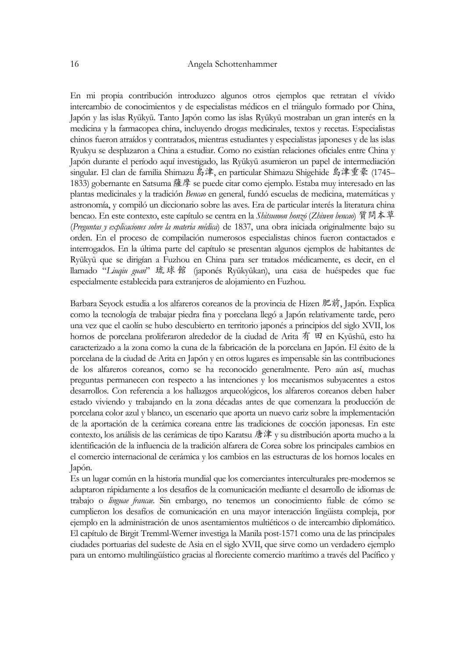En mi propia contribución introduzco algunos otros ejemplos que retratan el vívido intercambio de conocimientos y de especialistas médicos en el triángulo formado por China, Japón y las islas Ryūkyū. Tanto Japón como las islas Ryūkyū mostraban un gran interés en la medicina y la farmacopea china, incluyendo drogas medicinales, textos y recetas. Especialistas chinos fueron atraídos y contratados, mientras estudiantes y especialistas japoneses y de las islas Ryukyu se desplazaron a China a estudiar. Como no existían relaciones oficiales entre China y Japón durante el período aquí investigado, las Ryūkyū asumieron un papel de intermediación singular. El clan de familia Shimazu 島津, en particular Shimazu Shigehide 島津重豪 (1745– 1833) gobernante en Satsuma薩摩 se puede citar como ejemplo. Estaba muy interesado en las plantas medicinales y la tradición *Bencao* en general, fundó escuelas de medicina, matemáticas y astronomía, y compiló un diccionario sobre las aves. Era de particular interés la literatura china bencao. En este contexto, este capítulo se centra en la *Shitsumon honzō* (*Zhiwen bencao*) 質問本草 (*Preguntas y explicaciones sobre la materia médica*) de 1837, una obra iniciada originalmente bajo su orden. En el proceso de compilación numerosos especialistas chinos fueron contactados e interrogados. En la última parte del capítulo se presentan algunos ejemplos de habitantes de Ryūkyū que se dirigían a Fuzhou en China para ser tratados médicamente, es decir, en el llamado "*Liuqiu guan*" 琉球館 (japonés Ryūkyūkan), una casa de huéspedes que fue especialmente establecida para extranjeros de alojamiento en Fuzhou.

Barbara Seyock estudia a los alfareros coreanos de la provincia de Hizen 肥前, Japón. Explica como la tecnología de trabajar piedra fina y porcelana llegó a Japón relativamente tarde, pero una vez que el caolín se hubo descubierto en territorio japonés a principios del siglo XVII, los hornos de porcelana proliferaron alrededor de la ciudad de Arita 有 田 en Kyūshū, esto ha caracterizado a la zona como la cuna de la fabricación de la porcelana en Japón. El éxito de la porcelana de la ciudad de Arita en Japón y en otros lugares es impensable sin las contribuciones de los alfareros coreanos, como se ha reconocido generalmente. Pero aún así, muchas preguntas permanecen con respecto a las intenciones y los mecanismos subyacentes a estos desarrollos. Con referencia a los hallazgos arqueológicos, los alfareros coreanos deben haber estado viviendo y trabajando en la zona décadas antes de que comenzara la producción de porcelana color azul y blanco, un escenario que aporta un nuevo cariz sobre la implementación de la aportación de la cerámica coreana entre las tradiciones de cocción japonesas. En este contexto, los análisis de las cerámicas de tipo Karatsu 唐津 y su distribución aporta mucho a la identificación de la influencia de la tradición alfarera de Corea sobre los principales cambios en el comercio internacional de cerámica y los cambios en las estructuras de los hornos locales en Japón.

Es un lugar común en la historia mundial que los comerciantes interculturales pre-modernos se adaptaron rápidamente a los desafíos de la comunicación mediante el desarrollo de idiomas de trabajo o *linguae francae*. Sin embargo, no tenemos un conocimiento fiable de cómo se cumplieron los desafíos de comunicación en una mayor interacción lingüista compleja, por ejemplo en la administración de unos asentamientos multiéticos o de intercambio diplomático. El capítulo de Birgit Tremml-Werner investiga la Manila post-1571 como una de las principales ciudades portuarias del sudeste de Asia en el siglo XVII, que sirve como un verdadero ejemplo para un entorno multilingüístico gracias al floreciente comercio marítimo a través del Pacífico y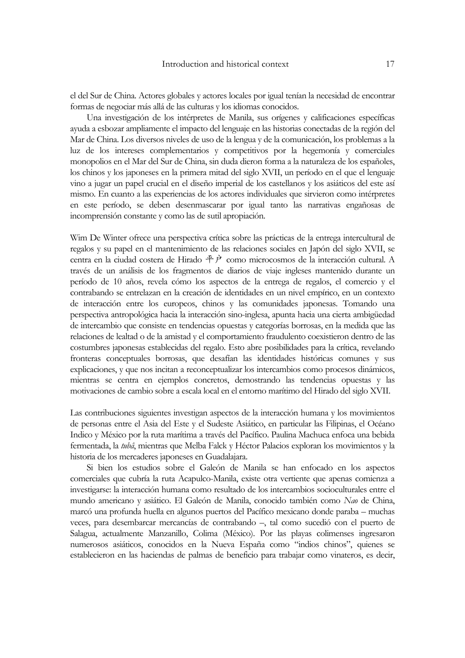el del Sur de China. Actores globales y actores locales por igual tenían la necesidad de encontrar formas de negociar más allá de las culturas y los idiomas conocidos.

Una investigación de los intérpretes de Manila, sus orígenes y calificaciones específicas ayuda a esbozar ampliamente el impacto del lenguaje en las historias conectadas de la región del Mar de China. Los diversos niveles de uso de la lengua y de la comunicación, los problemas a la luz de los intereses complementarios y competitivos por la hegemonía y comerciales monopolios en el Mar del Sur de China, sin duda dieron forma a la naturaleza de los españoles, los chinos y los japoneses en la primera mitad del siglo XVII, un período en el que el lenguaje vino a jugar un papel crucial en el diseño imperial de los castellanos y los asiáticos del este así mismo. En cuanto a las experiencias de los actores individuales que sirvieron como intérpretes en este período, se deben desenmascarar por igual tanto las narrativas engañosas de incomprensión constante y como las de sutil apropiación.

Wim De Winter ofrece una perspectiva crítica sobre las prácticas de la entrega intercultural de regalos y su papel en el mantenimiento de las relaciones sociales en Japón del siglo XVII, se centra en la ciudad costera de Hirado 平户 como microcosmos de la interacción cultural. A través de un análisis de los fragmentos de diarios de viaje ingleses mantenido durante un período de 10 años, revela cómo los aspectos de la entrega de regalos, el comercio y el contrabando se entrelazan en la creación de identidades en un nivel empírico, en un contexto de interacción entre los europeos, chinos y las comunidades japonesas. Tomando una perspectiva antropológica hacia la interacción sino-inglesa, apunta hacia una cierta ambigüedad de intercambio que consiste en tendencias opuestas y categorías borrosas, en la medida que las relaciones de lealtad o de la amistad y el comportamiento fraudulento coexistieron dentro de las costumbres japonesas establecidas del regalo. Esto abre posibilidades para la crítica, revelando fronteras conceptuales borrosas, que desafían las identidades históricas comunes y sus explicaciones, y que nos incitan a reconceptualizar los intercambios como procesos dinámicos, mientras se centra en ejemplos concretos, demostrando las tendencias opuestas y las motivaciones de cambio sobre a escala local en el entorno marítimo del Hirado del siglo XVII.

Las contribuciones siguientes investigan aspectos de la interacción humana y los movimientos de personas entre el Asia del Este y el Sudeste Asiático, en particular las Filipinas, el Océano Indico y México por la ruta marítima a través del Pacífico. Paulina Machuca enfoca una bebida fermentada, la *tubâ*, mientras que Melba Falck y Héctor Palacios exploran los movimientos y la historia de los mercaderes japoneses en Guadalajara.

Si bien los estudios sobre el Galeón de Manila se han enfocado en los aspectos comerciales que cubría la ruta Acapulco-Manila, existe otra vertiente que apenas comienza a investigarse: la interacción humana como resultado de los intercambios socioculturales entre el mundo americano y asiático. El Galeón de Manila, conocido también como *Nao* de China, marcó una profunda huella en algunos puertos del Pacífico mexicano donde paraba – muchas veces, para desembarcar mercancías de contrabando –, tal como sucedió con el puerto de Salagua, actualmente Manzanillo, Colima (México). Por las playas colimenses ingresaron numerosos asiáticos, conocidos en la Nueva España como "indios chinos", quienes se establecieron en las haciendas de palmas de beneficio para trabajar como vinateros, es decir,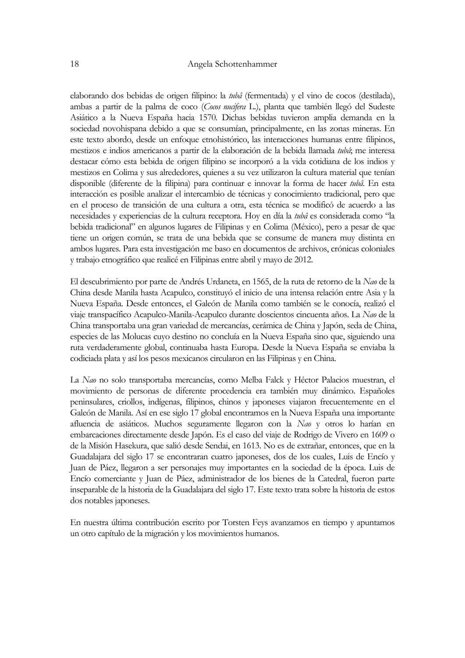elaborando dos bebidas de origen filipino: la *tubâ* (fermentada) y el vino de cocos (destilada), ambas a partir de la palma de coco (*Cocos nucifera* L.), planta que también llegó del Sudeste Asiático a la Nueva España hacia 1570. Dichas bebidas tuvieron amplia demanda en la sociedad novohispana debido a que se consumían, principalmente, en las zonas mineras. En este texto abordo, desde un enfoque etnohistórico, las interacciones humanas entre filipinos, mestizos e indios americanos a partir de la elaboración de la bebida llamada *tubâ*; me interesa destacar cómo esta bebida de origen filipino se incorporó a la vida cotidiana de los indios y mestizos en Colima y sus alrededores, quienes a su vez utilizaron la cultura material que tenían disponible (diferente de la filipina) para continuar e innovar la forma de hacer *tubâ*. En esta interacción es posible analizar el intercambio de técnicas y conocimiento tradicional, pero que en el proceso de transición de una cultura a otra, esta técnica se modificó de acuerdo a las necesidades y experiencias de la cultura receptora. Hoy en día la *tubâ* es considerada como "la bebida tradicional" en algunos lugares de Filipinas y en Colima (México), pero a pesar de que tiene un origen común, se trata de una bebida que se consume de manera muy distinta en ambos lugares. Para esta investigación me baso en documentos de archivos, crónicas coloniales y trabajo etnográfico que realicé en Filipinas entre abril y mayo de 2012.

El descubrimiento por parte de Andrés Urdaneta, en 1565, de la ruta de retorno de la *Nao* de la China desde Manila hasta Acapulco, constituyó el inicio de una intensa relación entre Asia y la Nueva España. Desde entonces, el Galeón de Manila como también se le conocía, realizó el viaje transpacífico Acapulco-Manila-Acapulco durante doscientos cincuenta años. La *Nao* de la China transportaba una gran variedad de mercancías, cerámica de China y Japón, seda de China, especies de las Molucas cuyo destino no concluía en la Nueva España sino que, siguiendo una ruta verdaderamente global, continuaba hasta Europa. Desde la Nueva España se enviaba la codiciada plata y así los pesos mexicanos circularon en las Filipinas y en China.

La *Nao* no solo transportaba mercancías, como Melba Falck y Héctor Palacios muestran, el movimiento de personas de diferente procedencia era también muy dinámico. Españoles peninsulares, criollos, indígenas, filipinos, chinos y japoneses viajaron frecuentemente en el Galeón de Manila. Así en ese siglo 17 global encontramos en la Nueva España una importante afluencia de asiáticos. Muchos seguramente llegaron con la *Nao* y otros lo harían en embarcaciones directamente desde Japón. Es el caso del viaje de Rodrigo de Vivero en 1609 o de la Misión Hasekura, que salió desde Sendai, en 1613. No es de extrañar, entonces, que en la Guadalajara del siglo 17 se encontraran cuatro japoneses, dos de los cuales, Luis de Encío y Juan de Páez, llegaron a ser personajes muy importantes en la sociedad de la época. Luis de Encío comerciante y Juan de Páez, administrador de los bienes de la Catedral, fueron parte inseparable de la historia de la Guadalajara del siglo 17. Este texto trata sobre la historia de estos dos notables japoneses.

En nuestra última contribución escrito por Torsten Feys avanzamos en tiempo y apuntamos un otro capítulo de la migración y los movimientos humanos.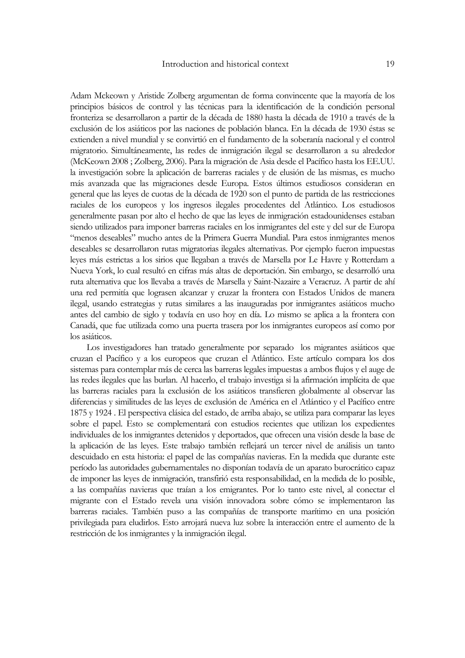Adam Mckeown y Aristide Zolberg argumentan de forma convincente que la mayoría de los principios básicos de control y las técnicas para la identificación de la condición personal fronteriza se desarrollaron a partir de la década de 1880 hasta la década de 1910 a través de la exclusión de los asiáticos por las naciones de población blanca. En la década de 1930 éstas se extienden a nivel mundial y se convirtió en el fundamento de la soberanía nacional y el control migratorio. Simultáneamente, las redes de inmigración ilegal se desarrollaron a su alrededor (McKeown 2008 ; Zolberg, 2006). Para la migración de Asia desde el Pacífico hasta los EE.UU. la investigación sobre la aplicación de barreras raciales y de elusión de las mismas, es mucho más avanzada que las migraciones desde Europa. Estos últimos estudiosos consideran en general que las leyes de cuotas de la década de 1920 son el punto de partida de las restricciones raciales de los europeos y los ingresos ilegales procedentes del Atlántico. Los estudiosos generalmente pasan por alto el hecho de que las leyes de inmigración estadounidenses estaban siendo utilizados para imponer barreras raciales en los inmigrantes del este y del sur de Europa "menos deseables" mucho antes de la Primera Guerra Mundial. Para estos inmigrantes menos deseables se desarrollaron rutas migratorias ilegales alternativas. Por ejemplo fueron impuestas leyes más estrictas a los sirios que llegaban a través de Marsella por Le Havre y Rotterdam a Nueva York, lo cual resultó en cifras más altas de deportación. Sin embargo, se desarrolló una ruta alternativa que los llevaba a través de Marsella y Saint-Nazaire a Veracruz. A partir de ahí una red permitía que lograsen alcanzar y cruzar la frontera con Estados Unidos de manera ilegal, usando estrategias y rutas similares a las inauguradas por inmigrantes asiáticos mucho antes del cambio de siglo y todavía en uso hoy en día. Lo mismo se aplica a la frontera con Canadá, que fue utilizada como una puerta trasera por los inmigrantes europeos así como por los asiáticos.

 Los investigadores han tratado generalmente por separado los migrantes asiáticos que cruzan el Pacífico y a los europeos que cruzan el Atlántico. Este artículo compara los dos sistemas para contemplar más de cerca las barreras legales impuestas a ambos flujos y el auge de las redes ilegales que las burlan. Al hacerlo, el trabajo investiga si la afirmación implícita de que las barreras raciales para la exclusión de los asiáticos transfieren globalmente al observar las diferencias y similitudes de las leyes de exclusión de América en el Atlántico y el Pacífico entre 1875 y 1924 . El perspectiva clásica del estado, de arriba abajo, se utiliza para comparar las leyes sobre el papel. Esto se complementará con estudios recientes que utilizan los expedientes individuales de los inmigrantes detenidos y deportados, que ofrecen una visión desde la base de la aplicación de las leyes. Este trabajo también reflejará un tercer nivel de análisis un tanto descuidado en esta historia: el papel de las compañías navieras. En la medida que durante este período las autoridades gubernamentales no disponían todavía de un aparato burocrático capaz de imponer las leyes de inmigración, transfirió esta responsabilidad, en la medida de lo posible, a las compañías navieras que traían a los emigrantes. Por lo tanto este nivel, al conectar el migrante con el Estado revela una visión innovadora sobre cómo se implementaron las barreras raciales. También puso a las compañías de transporte marítimo en una posición privilegiada para eludirlos. Esto arrojará nueva luz sobre la interacción entre el aumento de la restricción de los inmigrantes y la inmigración ilegal.